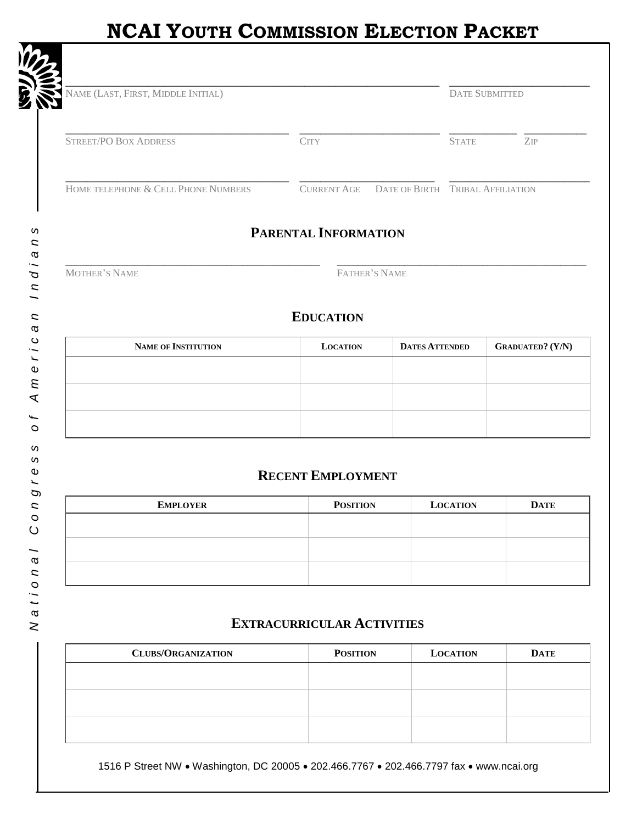# **NCAI YOUTH COMMISSION ELECTION PACKET**

| NAME (LAST, FIRST, MIDDLE INITIAL)  |                    | <b>DATE SUBMITTED</b>            |
|-------------------------------------|--------------------|----------------------------------|
| <b>STREET/PO BOX ADDRESS</b>        | <b>CITY</b>        | ZIP<br><b>STATE</b>              |
| HOME TELEPHONE & CELL PHONE NUMBERS | <b>CURRENT AGE</b> | DATE OF BIRTH TRIBAL AFFILIATION |

## PARENTAL INFORMATION

MOTHER'S NAME

FATHER'S NAME

#### **EDUCATION**

| <b>NAME OF INSTITUTION</b> | <b>LOCATION</b> | <b>DATES ATTENDED</b> | <b>GRADUATED?</b> (Y/N) |
|----------------------------|-----------------|-----------------------|-------------------------|
|                            |                 |                       |                         |
|                            |                 |                       |                         |
|                            |                 |                       |                         |
|                            |                 |                       |                         |

## **RECENT EMPLOYMENT**

| <b>EMPLOYER</b> | <b>POSITION</b> | <b>LOCATION</b> | <b>DATE</b> |
|-----------------|-----------------|-----------------|-------------|
|                 |                 |                 |             |
|                 |                 |                 |             |
|                 |                 |                 |             |
|                 |                 |                 |             |
|                 |                 |                 |             |

#### **EXTRACURRICULAR ACTIVITIES**

| <b>CLUBS/ORGANIZATION</b> | <b>POSITION</b> | <b>LOCATION</b> | <b>DATE</b> |
|---------------------------|-----------------|-----------------|-------------|
|                           |                 |                 |             |
|                           |                 |                 |             |
|                           |                 |                 |             |
|                           |                 |                 |             |
|                           |                 |                 |             |

1516 P Street NW . Washington, DC 20005 . 202.466.7767 . 202.466.7797 fax . www.ncai.org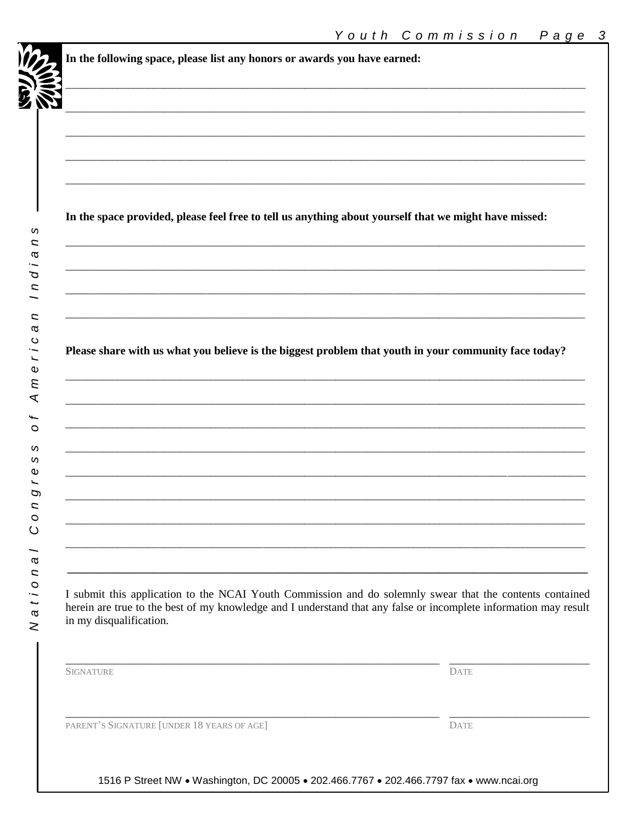| In the space provided, please feel free to tell us anything about yourself that we might have missed:                                       |             |
|---------------------------------------------------------------------------------------------------------------------------------------------|-------------|
|                                                                                                                                             |             |
|                                                                                                                                             |             |
|                                                                                                                                             |             |
|                                                                                                                                             |             |
|                                                                                                                                             |             |
|                                                                                                                                             |             |
|                                                                                                                                             |             |
| Please share with us what you believe is the biggest problem that youth in your community face today?                                       |             |
|                                                                                                                                             |             |
|                                                                                                                                             |             |
|                                                                                                                                             |             |
|                                                                                                                                             |             |
|                                                                                                                                             |             |
|                                                                                                                                             |             |
|                                                                                                                                             |             |
|                                                                                                                                             |             |
|                                                                                                                                             |             |
|                                                                                                                                             |             |
|                                                                                                                                             |             |
|                                                                                                                                             |             |
| I submit this application to the NCAI Youth Commission and do solemnly swear that the contents contained                                    |             |
| herein are true to the best of my knowledge and I understand that any false or incomplete information may result<br>in my disqualification. |             |
|                                                                                                                                             |             |
|                                                                                                                                             |             |
| <b>SIGNATURE</b>                                                                                                                            | <b>DATE</b> |

1516 P Street NW . Washington, DC 20005 . 202.466.7767 . 202.466.7797 fax . www.ncai.org